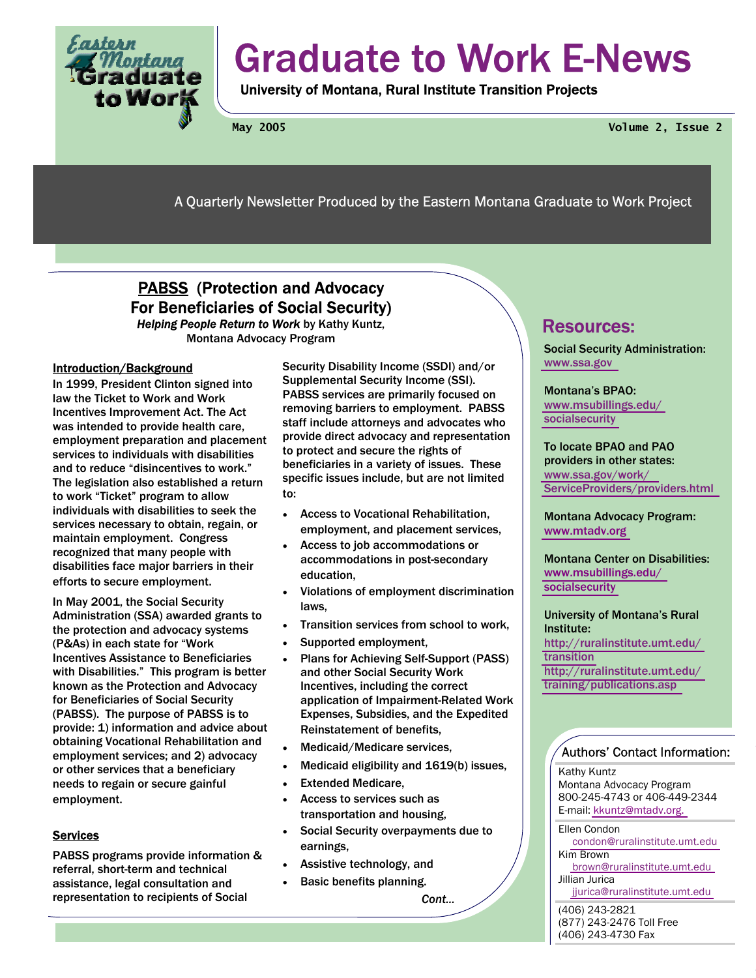

# Graduate to Work E-News

University of Montana, Rural Institute Transition Projects

**May 2005 Volume 2, Issue 2** 

A Quarterly Newsletter Produced by the Eastern Montana Graduate to Work Project

# PABSS (Protection and Advocacy For Beneficiaries of Social Security)

*Helping People Return to Work* by Kathy Kuntz, Montana Advocacy Program

## Introduction/Background

In 1999, President Clinton signed into law the Ticket to Work and Work Incentives Improvement Act. The Act was intended to provide health care, employment preparation and placement services to individuals with disabilities and to reduce "disincentives to work." The legislation also established a return to work "Ticket" program to allow individuals with disabilities to seek the services necessary to obtain, regain, or maintain employment. Congress recognized that many people with disabilities face major barriers in their efforts to secure employment.

In May 2001, the Social Security Administration (SSA) awarded grants to the protection and advocacy systems (P&As) in each state for "Work Incentives Assistance to Beneficiaries with Disabilities." This program is better known as the Protection and Advocacy for Beneficiaries of Social Security (PABSS). The purpose of PABSS is to provide: 1) information and advice about obtaining Vocational Rehabilitation and employment services; and 2) advocacy or other services that a beneficiary needs to regain or secure gainful employment.

## **Services**

PABSS programs provide information & referral, short-term and technical assistance, legal consultation and representation to recipients of Social

Security Disability Income (SSDI) and/or Supplemental Security Income (SSI). PABSS services are primarily focused on removing barriers to employment. PABSS staff include attorneys and advocates who provide direct advocacy and representation to protect and secure the rights of beneficiaries in a variety of issues. These specific issues include, but are not limited to:

- Access to Vocational Rehabilitation, employment, and placement services,
- Access to job accommodations or accommodations in post-secondary education,
- Violations of employment discrimination laws,
- Transition services from school to work,
- Supported employment.
- Plans for Achieving Self-Support (PASS) and other Social Security Work Incentives, including the correct application of Impairment-Related Work Expenses, Subsidies, and the Expedited Reinstatement of benefits,
- Medicaid/Medicare services,
- Medicaid eligibility and 1619(b) issues,
- **Extended Medicare.**
- Access to services such as transportation and housing,
- Social Security overpayments due to earnings,
- Assistive technology, and
- Basic benefits planning.

*Cont...* 

# Resources:

Social Security Administration: [www.ssa.gov](http://www.ssa.gov) 

Montana's BPAO: [www.msubillings.edu/](http://www.msubillings.edu/socialsecurity) [socialsecurity](http://www.msubillings.edu/socialsecurity) 

To locate BPAO and PAO providers in other states: [www.ssa.gov/work/](http://www.ssa.gov/work/ServiceProviders/providers.html) [ServiceProviders/providers.html](http://www.ssa.gov/work/ServiceProviders/providers.html) 

Montana Advocacy Program: [www.mtadv.org](http://www.mtadv.org) 

Montana Center on Disabilities: [www.msubillings.edu/](http://www.msubillings.edu/socialsecurity) [socialsecurity](http://www.msubillings.edu/socialsecurity) 

University of Montana's Rural Institute: [http://ruralinstitute.umt.edu/](http://ruralinstitute.umt.edu/transition) [transition](http://ruralinstitute.umt.edu/transition)  [http://ruralinstitute.umt.edu/](http://ruralinstitute.umt.edu/training/publications.asp) [training/publications.asp](http://ruralinstitute.umt.edu/training/publications.asp)

## Authors' Contact Information:

Kathy Kuntz Montana Advocacy Program 800-245-4743 or 406-449-2344 E-mail: [kkuntz@mtadv.org.](mailto:kkuntz@mtadv.org) 

Ellen Condon [condon@ruralinstitute.umt.edu](mailto:condon@ruralinstitute.umt.edu)  Kim Brown [brown@ruralinstitute.umt.edu](mailto:brown@ruralinstitute.umt.edu) 

Jillian Jurica [jjurica@ruralinstitute.umt.edu](mailto:jjurica@ruralinstitute.umt.edu) 

(406) 243-2821 (877) 243-2476 Toll Free (406) 243-4730 Fax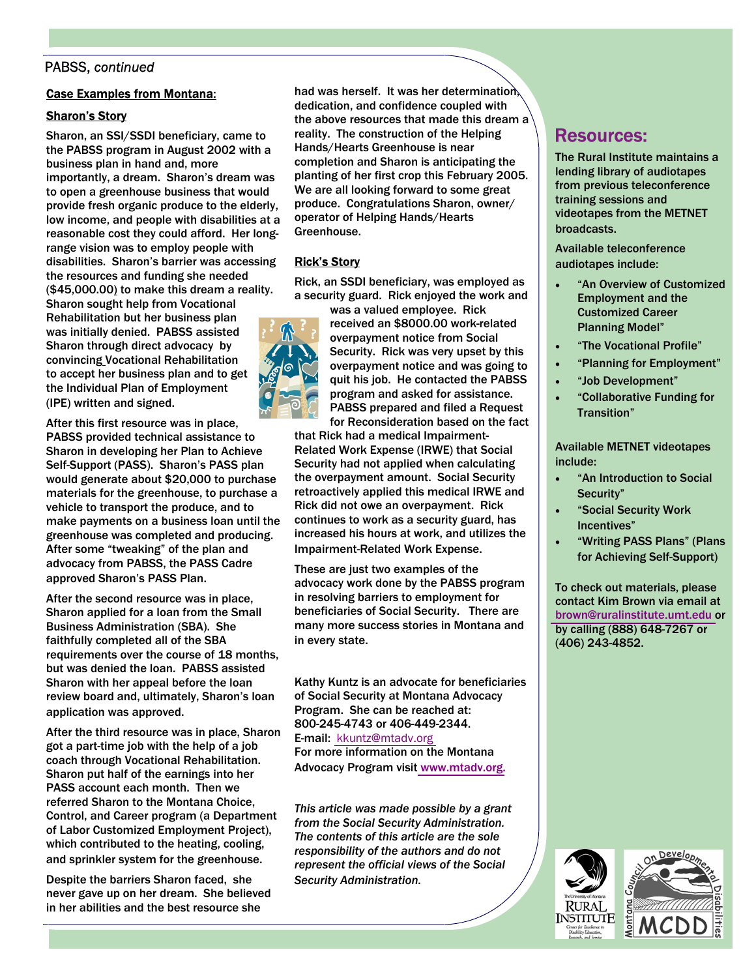## PABSS, *continued*

#### Case Examples from Montana:

## Sharon's Story

Sharon, an SSI/SSDI beneficiary, came to the PABSS program in August 2002 with a business plan in hand and, more importantly, a dream. Sharon's dream was to open a greenhouse business that would provide fresh organic produce to the elderly, low income, and people with disabilities at a reasonable cost they could afford. Her longrange vision was to employ people with disabilities. Sharon's barrier was accessing the resources and funding she needed (\$45,000.00) to make this dream a reality. Sharon sought help from Vocational Rehabilitation but her business plan was initially denied. PABSS assisted Sharon through direct advocacy by convincing Vocational Rehabilitation to accept her business plan and to get the Individual Plan of Employment (IPE) written and signed.

After this first resource was in place, PABSS provided technical assistance to Sharon in developing her Plan to Achieve Self-Support (PASS). Sharon's PASS plan would generate about \$20,000 to purchase materials for the greenhouse, to purchase a vehicle to transport the produce, and to make payments on a business loan until the greenhouse was completed and producing. After some "tweaking" of the plan and advocacy from PABSS, the PASS Cadre approved Sharon's PASS Plan.

After the second resource was in place, Sharon applied for a loan from the Small Business Administration (SBA). She faithfully completed all of the SBA requirements over the course of 18 months, but was denied the loan. PABSS assisted Sharon with her appeal before the loan review board and, ultimately, Sharon's loan application was approved.

After the third resource was in place, Sharon got a part-time job with the help of a job coach through Vocational Rehabilitation. Sharon put half of the earnings into her PASS account each month. Then we referred Sharon to the Montana Choice, Control, and Career program (a Department of Labor Customized Employment Project), which contributed to the heating, cooling, and sprinkler system for the greenhouse.

Despite the barriers Sharon faced, she never gave up on her dream. She believed in her abilities and the best resource she

had was herself. It was her determination, dedication, and confidence coupled with the above resources that made this dream a reality. The construction of the Helping Hands/Hearts Greenhouse is near completion and Sharon is anticipating the planting of her first crop this February 2005. We are all looking forward to some great produce. Congratulations Sharon, owner/ operator of Helping Hands/Hearts Greenhouse.

## Rick's Story

Rick, an SSDI beneficiary, was employed as a security guard. Rick enjoyed the work and

was a valued employee. Rick received an \$8000.00 work-related overpayment notice from Social Security. Rick was very upset by this overpayment notice and was going to quit his job. He contacted the PABSS program and asked for assistance. PABSS prepared and filed a Request for Reconsideration based on the fact

that Rick had a medical Impairment-Related Work Expense (IRWE) that Social Security had not applied when calculating the overpayment amount. Social Security retroactively applied this medical IRWE and Rick did not owe an overpayment. Rick continues to work as a security guard, has increased his hours at work, and utilizes the Impairment-Related Work Expense.

These are just two examples of the advocacy work done by the PABSS program in resolving barriers to employment for beneficiaries of Social Security. There are many more success stories in Montana and in every state.

Kathy Kuntz is an advocate for beneficiaries of Social Security at Montana Advocacy Program. She can be reached at: 800-245-4743 or 406-449-2344. E-mail: [kkuntz@mtadv.org](mailto:kkuntz@mtadv.org) 

For more information on the Montana Advocacy Program visi[t www.mtadv.org.](http://www.mtadv.org)

*This article was made possible by a grant from the Social Security Administration. The contents of this article are the sole responsibility of the authors and do not represent the official views of the Social Security Administration.*

# Resources:

The Rural Institute maintains a lending library of audiotapes from previous teleconference training sessions and videotapes from the METNET broadcasts.

Available teleconference audiotapes include:

- "An Overview of Customized Employment and the Customized Career Planning Model"
- "The Vocational Profile"
- "Planning for Employment"
- "Job Development"
- "Collaborative Funding for Transition"

Available METNET videotapes include:

- "An Introduction to Social Security"
- "Social Security Work Incentives"
- "Writing PASS Plans" (Plans for Achieving Self-Support)

To check out materials, please contact Kim Brown via email at [brown@ruralinstitute.umt.edu o](mailto:brown@ruralinstitute.umt.edu)r by calling (888) 648-7267 or (406) 243-4852.



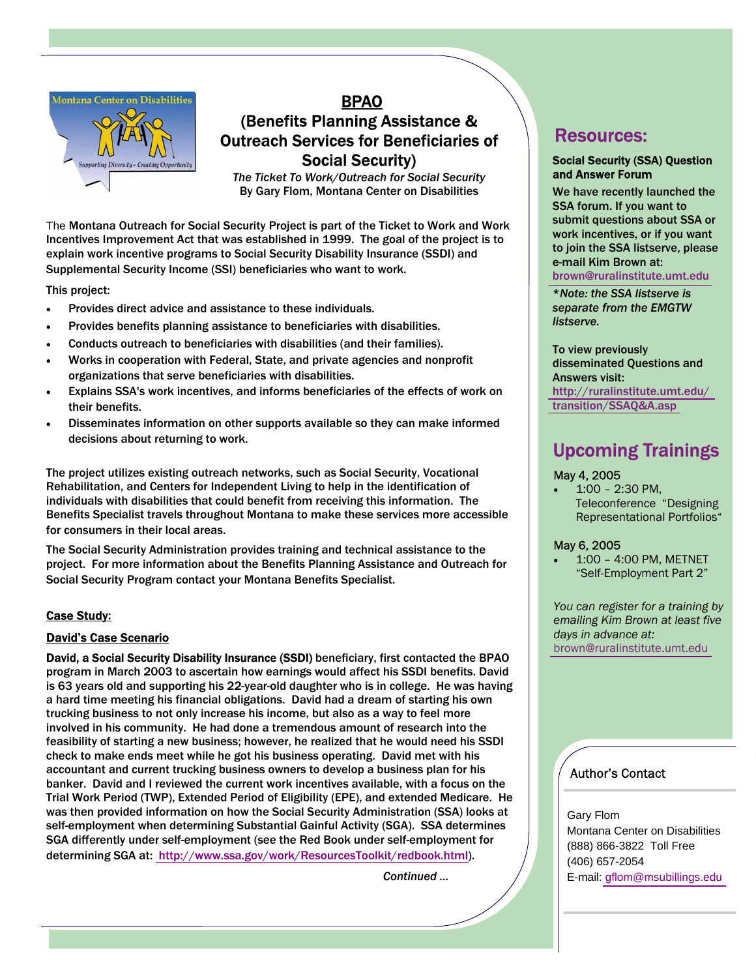

# BPAO (Benefits Planning Assistance & Outreach Services for Beneficiaries of Social Security)

*The Ticket To Work/Outreach for Social Security*  By Gary Flom, Montana Center on Disabilities

The Montana Outreach for Social Security Project is part of the Ticket to Work and Work Incentives Improvement Act that was established in 1999. The goal of the project is to explain work incentive programs to Social Security Disability Insurance (SSDI) and Supplemental Security Income (SSI) beneficiaries who want to work.

This project:

- Provides direct advice and assistance to these individuals.
- Provides benefits planning assistance to beneficiaries with disabilities.
- Conducts outreach to beneficiaries with disabilities (and their families).
- Works in cooperation with Federal, State, and private agencies and nonprofit organizations that serve beneficiaries with disabilities.
- Explains SSA's work incentives, and informs beneficiaries of the effects of work on their benefits.
- Disseminates information on other supports available so they can make informed decisions about returning to work.

The project utilizes existing outreach networks, such as Social Security, Vocational Rehabilitation, and Centers for Independent Living to help in the identification of individuals with disabilities that could benefit from receiving this information. The Benefits Specialist travels throughout Montana to make these services more accessible for consumers in their local areas.

The Social Security Administration provides training and technical assistance to the project. For more information about the Benefits Planning Assistance and Outreach for Social Security Program contact your Montana Benefits Specialist.

### Case Study:

### David's Case Scenario

David, a Social Security Disability Insurance (SSDI) beneficiary, first contacted the BPAO program in March 2003 to ascertain how earnings would affect his SSDI benefits. David is 63 years old and supporting his 22-year-old daughter who is in college. He was having a hard time meeting his financial obligations. David had a dream of starting his own trucking business to not only increase his income, but also as a way to feel more involved in his community. He had done a tremendous amount of research into the feasibility of starting a new business; however, he realized that he would need his SSDI check to make ends meet while he got his business operating. David met with his accountant and current trucking business owners to develop a business plan for his banker. David and I reviewed the current work incentives available, with a focus on the Trial Work Period (TWP), Extended Period of Eligibility (EPE), and extended Medicare. He was then provided information on how the Social Security Administration (SSA) looks at self-employment when determining Substantial Gainful Activity (SGA). SSA determines SGA differently under self-employment (see the Red Book under self-employment for determining SGA at: [http://www.ssa.gov/work/ResourcesToolkit/redbook.html\)](http://www.ssa.gov/work/ResourcesToolkit/redbook.html).

*Continued …* 

## Resources:

#### Social Security (SSA) Question and Answer Forum

We have recently launched the SSA forum. If you want to submit questions about SSA or work incentives, or if you want to join the SSA listserve, please e-mail Kim Brown at: [brown@ruralinstitute.umt.edu](mailto:brown@ruralinstitute.umt.edu) 

\**Note: the SSA listserve is separate from the EMGTW listserve.* 

To view previously disseminated Questions and Answers visit: [http://ruralinstitute.umt.edu/](http://ruralinstitute.umt.edu/transition/SSAQ&A.asp) [transition/SSAQ&A.asp](http://ruralinstitute.umt.edu/transition/SSAQ&A.asp) 

# Upcoming Trainings

### May 4, 2005

• 1:00 – 2:30 PM, Teleconference "Designing Representational Portfolios"

#### May 6, 2005

• 1:00 – 4:00 PM, METNET "Self-Employment Part 2"

*You can register for a training by emailing Kim Brown at least five days in advance at:*  [brown@ruralinstitute.umt.edu](mailto:brown@ruralinstitute.umt.edu) 

## Author's Contact

Gary Flom Montana Center on Disabilities (888) 866-3822 Toll Free (406) 657-2054 E-mail: [gflom@msubillings.edu](mailto:gflom@msubillings.edu)